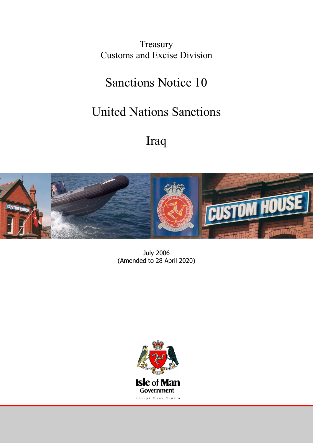Treasury Customs and Excise Division

# Sanctions Notice 10

# United Nations Sanctions

# Iraq



July 2006 (Amended to 28 April 2020)

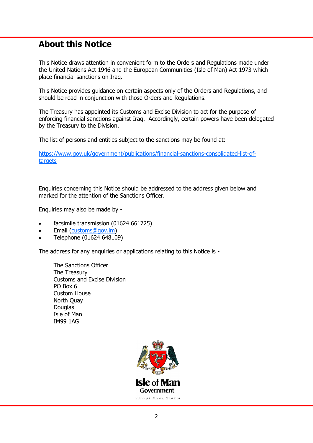# **About this Notice**

This Notice draws attention in convenient form to the Orders and Regulations made under the United Nations Act 1946 and the European Communities (Isle of Man) Act 1973 which place financial sanctions on Iraq.

This Notice provides guidance on certain aspects only of the Orders and Regulations, and should be read in conjunction with those Orders and Regulations.

The Treasury has appointed its Customs and Excise Division to act for the purpose of enforcing financial sanctions against Iraq. Accordingly, certain powers have been delegated by the Treasury to the Division.

The list of persons and entities subject to the sanctions may be found at:

[https://www.gov.uk/government/publications/financial-sanctions-consolidated-list-of](https://www.gov.uk/government/publications/financial-sanctions-consolidated-list-of-targets)[targets](https://www.gov.uk/government/publications/financial-sanctions-consolidated-list-of-targets)

Enquiries concerning this Notice should be addressed to the address given below and marked for the attention of the Sanctions Officer.

Enquiries may also be made by -

- facsimile transmission (01624 661725)
- Email ([customs@gov.im\)](mailto:customs@gov.im)
- Telephone (01624 648109)

The address for any enquiries or applications relating to this Notice is -

The Sanctions Officer The Treasury Customs and Excise Division PO Box 6 Custom House North Quay **Douglas** Isle of Man IM99 1AG

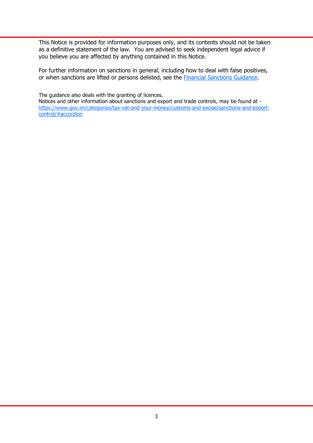This Notice is provided for information purposes only, and its contents should not be taken as a definitive statement of the law. You are advised to seek independent legal advice if you believe you are affected by anything contained in this Notice.

For further information on sanctions in general, including how to deal with false positives, or when sanctions are lifted or persons delisted, see the [Financial Sanctions Guidance.](https://www.gov.im/media/1362741/financial-sanctions-guidance-september-2018-final.pdf)

The guidance also deals with the granting of licences.

Notices and other information about sanctions and export and trade controls, may be found at [https://www.gov.im/categories/tax-vat-and-your-money/customs-and-excise/sanctions-and-export](https://www.gov.im/categories/tax-vat-and-your-money/customs-and-excise/sanctions-and-export-control/#accordion)[control/#accordion](https://www.gov.im/categories/tax-vat-and-your-money/customs-and-excise/sanctions-and-export-control/#accordion)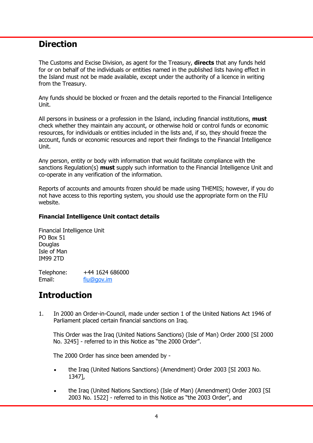# **Direction**

The Customs and Excise Division, as agent for the Treasury, **directs** that any funds held for or on behalf of the individuals or entities named in the published lists having effect in the Island must not be made available, except under the authority of a licence in writing from the Treasury.

Any funds should be blocked or frozen and the details reported to the Financial Intelligence Unit.

All persons in business or a profession in the Island, including financial institutions, **must**  check whether they maintain any account, or otherwise hold or control funds or economic resources, for individuals or entities included in the lists and, if so, they should freeze the account, funds or economic resources and report their findings to the Financial Intelligence Unit.

Any person, entity or body with information that would facilitate compliance with the sanctions Regulation(s) **must** supply such information to the Financial Intelligence Unit and co-operate in any verification of the information.

Reports of accounts and amounts frozen should be made using THEMIS; however, if you do not have access to this reporting system, you should use the appropriate form on the FIU website.

## **Financial Intelligence Unit contact details**

Financial Intelligence Unit PO Box 51 Douglas Isle of Man IM99 2TD

Telephone: +44 1624 686000 Email: [fiu@gov.im](mailto:fiu@gov.im)

# **Introduction**

1. In 2000 an Order-in-Council, made under section 1 of the United Nations Act 1946 of Parliament placed certain financial sanctions on Iraq.

This Order was the Iraq (United Nations Sanctions) (Isle of Man) Order 2000 [SI 2000 No. 3245] - referred to in this Notice as "the 2000 Order".

The 2000 Order has since been amended by -

- the Iraq (United Nations Sanctions) (Amendment) Order 2003 [SI 2003 No. 1347],
- the Iraq (United Nations Sanctions) (Isle of Man) (Amendment) Order 2003 [SI 2003 No. 1522] - referred to in this Notice as "the 2003 Order", and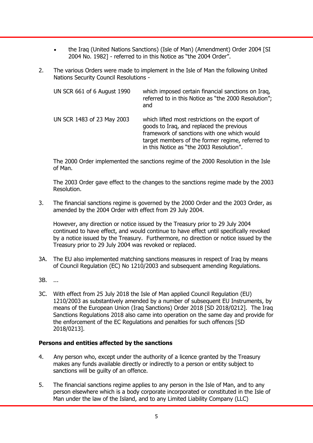- the Iraq (United Nations Sanctions) (Isle of Man) (Amendment) Order 2004 [SI 2004 No. 1982] - referred to in this Notice as "the 2004 Order".
- 2. The various Orders were made to implement in the Isle of Man the following United Nations Security Council Resolutions -

| UN SCR 661 of 6 August 1990 | which imposed certain financial sanctions on Iraq,<br>referred to in this Notice as "the 2000 Resolution";<br>and                                                                                                                          |
|-----------------------------|--------------------------------------------------------------------------------------------------------------------------------------------------------------------------------------------------------------------------------------------|
| UN SCR 1483 of 23 May 2003  | which lifted most restrictions on the export of<br>goods to Iraq, and replaced the previous<br>framework of sanctions with one which would<br>target members of the former regime, referred to<br>in this Notice as "the 2003 Resolution". |

The 2000 Order implemented the sanctions regime of the 2000 Resolution in the Isle of Man.

The 2003 Order gave effect to the changes to the sanctions regime made by the 2003 Resolution.

3. The financial sanctions regime is governed by the 2000 Order and the 2003 Order, as amended by the 2004 Order with effect from 29 July 2004.

However, any direction or notice issued by the Treasury prior to 29 July 2004 continued to have effect, and would continue to have effect until specifically revoked by a notice issued by the Treasury. Furthermore, no direction or notice issued by the Treasury prior to 29 July 2004 was revoked or replaced.

- 3A. The EU also implemented matching sanctions measures in respect of Iraq by means of Council Regulation (EC) No 1210/2003 and subsequent amending Regulations.
- 3B. ...
- 3C. With effect from 25 July 2018 the Isle of Man applied Council Regulation (EU) 1210/2003 as substantively amended by a number of subsequent EU Instruments, by means of the European Union (Iraq Sanctions) Order 2018 [SD 2018/0212]. The Iraq Sanctions Regulations 2018 also came into operation on the same day and provide for the enforcement of the EC Regulations and penalties for such offences [SD 2018/0213].

## **Persons and entities affected by the sanctions**

- 4. Any person who, except under the authority of a licence granted by the Treasury makes any funds available directly or indirectly to a person or entity subject to sanctions will be guilty of an offence.
- 5. The financial sanctions regime applies to any person in the Isle of Man, and to any person elsewhere which is a body corporate incorporated or constituted in the Isle of Man under the law of the Island, and to any Limited Liability Company (LLC)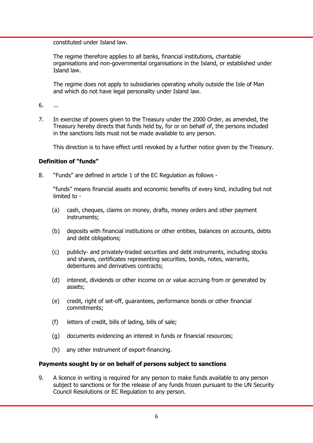constituted under Island law.

The regime therefore applies to all banks, financial institutions, charitable organisations and non-governmental organisations in the Island, or established under Island law.

The regime does not apply to subsidiaries operating wholly outside the Isle of Man and which do not have legal personality under Island law.

- 6. ...
- 7. In exercise of powers given to the Treasury under the 2000 Order, as amended, the Treasury hereby directs that funds held by, for or on behalf of, the persons included in the sanctions lists must not be made available to any person.

This direction is to have effect until revoked by a further notice given by the Treasury.

## **Definition of "funds"**

8. "Funds" are defined in article 1 of the EC Regulation as follows -

"funds" means financial assets and economic benefits of every kind, including but not limited to -

- (a) cash, cheques, claims on money, drafts, money orders and other payment instruments;
- (b) deposits with financial institutions or other entities, balances on accounts, debts and debt obligations;
- (c) publicly- and privately-traded securities and debt instruments, including stocks and shares, certificates representing securities, bonds, notes, warrants, debentures and derivatives contracts;
- (d) interest, dividends or other income on or value accruing from or generated by assets;
- (e) credit, right of set-off, guarantees, performance bonds or other financial commitments;
- (f) letters of credit, bills of lading, bills of sale;
- (g) documents evidencing an interest in funds or financial resources;
- (h) any other instrument of export-financing.

#### **Payments sought by or on behalf of persons subject to sanctions**

9. A licence in writing is required for any person to make funds available to any person subject to sanctions or for the release of any funds frozen pursuant to the UN Security Council Resolutions or EC Regulation to any person.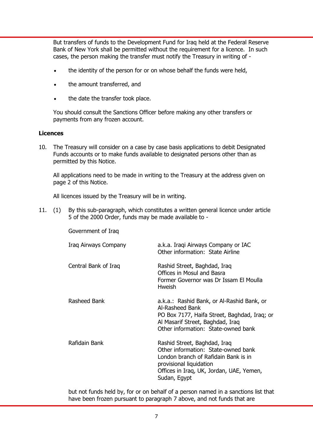But transfers of funds to the Development Fund for Iraq held at the Federal Reserve Bank of New York shall be permitted without the requirement for a licence. In such cases, the person making the transfer must notify the Treasury in writing of -

- the identity of the person for or on whose behalf the funds were held,
- the amount transferred, and
- the date the transfer took place.

You should consult the Sanctions Officer before making any other transfers or payments from any frozen account.

#### **Licences**

10. The Treasury will consider on a case by case basis applications to debit Designated Funds accounts or to make funds available to designated persons other than as permitted by this Notice.

All applications need to be made in writing to the Treasury at the address given on page 2 of this Notice.

All licences issued by the Treasury will be in writing.

11. (1) By this sub-paragraph, which constitutes a written general licence under article 5 of the 2000 Order, funds may be made available to -

| Government of Iraq   |                                                                                                                                                                                                    |
|----------------------|----------------------------------------------------------------------------------------------------------------------------------------------------------------------------------------------------|
| Iraq Airways Company | a.k.a. Iraqi Airways Company or IAC<br>Other information: State Airline                                                                                                                            |
| Central Bank of Iraq | Rashid Street, Baghdad, Iraq<br>Offices in Mosul and Basra<br>Former Governor was Dr Issam El Moulla<br>Hweish                                                                                     |
| Rasheed Bank         | a.k.a.: Rashid Bank, or Al-Rashid Bank, or<br>Al-Rasheed Bank<br>PO Box 7177, Haifa Street, Baghdad, Iraq; or<br>Al Masarif Street, Baghdad, Iraq<br>Other information: State-owned bank           |
| Rafidain Bank        | Rashid Street, Baghdad, Iraq<br>Other information: State-owned bank<br>London branch of Rafidain Bank is in<br>provisional liquidation<br>Offices in Iraq, UK, Jordan, UAE, Yemen,<br>Sudan, Egypt |

but not funds held by, for or on behalf of a person named in a sanctions list that have been frozen pursuant to paragraph 7 above, and not funds that are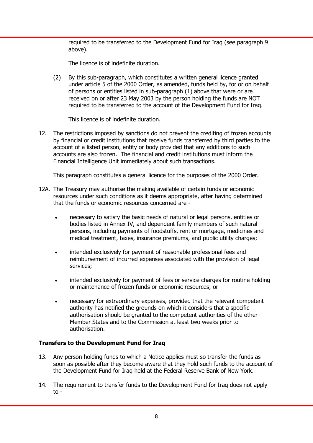required to be transferred to the Development Fund for Iraq (see paragraph 9 above).

The licence is of indefinite duration.

(2) By this sub-paragraph, which constitutes a written general licence granted under article 5 of the 2000 Order, as amended, funds held by, for or on behalf of persons or entities listed in sub-paragraph (1) above that were or are received on or after 23 May 2003 by the person holding the funds are NOT required to be transferred to the account of the Development Fund for Iraq.

This licence is of indefinite duration.

12. The restrictions imposed by sanctions do not prevent the crediting of frozen accounts by financial or credit institutions that receive funds transferred by third parties to the account of a listed person, entity or body provided that any additions to such accounts are also frozen. The financial and credit institutions must inform the Financial Intelligence Unit immediately about such transactions.

This paragraph constitutes a general licence for the purposes of the 2000 Order.

- 12A. The Treasury may authorise the making available of certain funds or economic resources under such conditions as it deems appropriate, after having determined that the funds or economic resources concerned are
	- necessary to satisfy the basic needs of natural or legal persons, entities or bodies listed in Annex IV, and dependent family members of such natural persons, including payments of foodstuffs, rent or mortgage, medicines and medical treatment, taxes, insurance premiums, and public utility charges;
	- intended exclusively for payment of reasonable professional fees and reimbursement of incurred expenses associated with the provision of legal services;
	- intended exclusively for payment of fees or service charges for routine holding or maintenance of frozen funds or economic resources; or
	- necessary for extraordinary expenses, provided that the relevant competent authority has notified the grounds on which it considers that a specific authorisation should be granted to the competent authorities of the other Member States and to the Commission at least two weeks prior to authorisation.

## **Transfers to the Development Fund for Iraq**

- 13. Any person holding funds to which a Notice applies must so transfer the funds as soon as possible after they become aware that they hold such funds to the account of the Development Fund for Iraq held at the Federal Reserve Bank of New York.
- 14. The requirement to transfer funds to the Development Fund for Iraq does not apply to -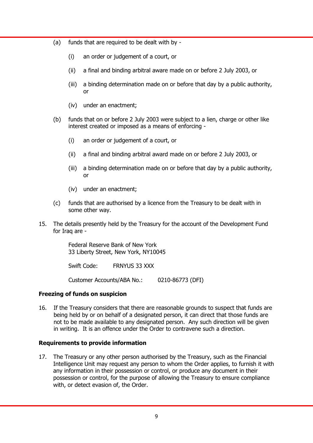- (a) funds that are required to be dealt with by
	- (i) an order or judgement of a court, or
	- (ii) a final and binding arbitral aware made on or before 2 July 2003, or
	- (iii) a binding determination made on or before that day by a public authority, or
	- (iv) under an enactment;
- (b) funds that on or before 2 July 2003 were subject to a lien, charge or other like interest created or imposed as a means of enforcing -
	- (i) an order or judgement of a court, or
	- (ii) a final and binding arbitral award made on or before 2 July 2003, or
	- (iii) a binding determination made on or before that day by a public authority, or
	- (iv) under an enactment;
- (c) funds that are authorised by a licence from the Treasury to be dealt with in some other way.
- 15. The details presently held by the Treasury for the account of the Development Fund for Iraq are -

Federal Reserve Bank of New York 33 Liberty Street, New York, NY10045

Swift Code: FRNYUS 33 XXX

Customer Accounts/ABA No.: 0210-86773 (DFI)

## **Freezing of funds on suspicion**

16. If the Treasury considers that there are reasonable grounds to suspect that funds are being held by or on behalf of a designated person, it can direct that those funds are not to be made available to any designated person. Any such direction will be given in writing. It is an offence under the Order to contravene such a direction.

#### **Requirements to provide information**

17. The Treasury or any other person authorised by the Treasury, such as the Financial Intelligence Unit may request any person to whom the Order applies, to furnish it with any information in their possession or control, or produce any document in their possession or control, for the purpose of allowing the Treasury to ensure compliance with, or detect evasion of, the Order.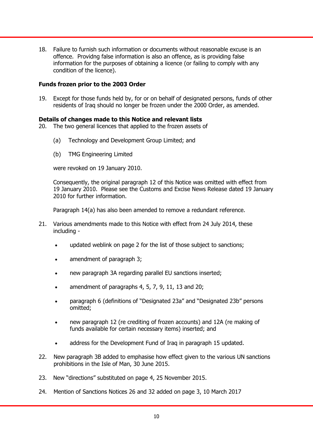18. Failure to furnish such information or documents without reasonable excuse is an offence. Providng false information is also an offence, as is providing false information for the purposes of obtaining a licence (or failing to comply with any condition of the licence).

#### **Funds frozen prior to the 2003 Order**

19. Except for those funds held by, for or on behalf of designated persons, funds of other residents of Iraq should no longer be frozen under the 2000 Order, as amended.

#### **Details of changes made to this Notice and relevant lists**

- 20. The two general licences that applied to the frozen assets of
	- (a) Technology and Development Group Limited; and
	- (b) TMG Engineering Limited

were revoked on 19 January 2010.

Consequently, the original paragraph 12 of this Notice was omitted with effect from 19 January 2010. Please see the Customs and Excise News Release dated 19 January 2010 for further information.

Paragraph 14(a) has also been amended to remove a redundant reference.

- 21. Various amendments made to this Notice with effect from 24 July 2014, these including
	- updated weblink on page 2 for the list of those subject to sanctions;
	- amendment of paragraph 3;
	- new paragraph 3A regarding parallel EU sanctions inserted;
	- amendment of paragraphs 4, 5, 7, 9, 11, 13 and 20;
	- paragraph 6 (definitions of "Designated 23a" and "Designated 23b" persons omitted;
	- new paragraph 12 (re crediting of frozen accounts) and 12A (re making of funds available for certain necessary items) inserted; and
	- address for the Development Fund of Iraq in paragraph 15 updated.
- 22. New paragraph 3B added to emphasise how effect given to the various UN sanctions prohibitions in the Isle of Man, 30 June 2015.
- 23. New "directions" substituted on page 4, 25 November 2015.
- 24. Mention of Sanctions Notices 26 and 32 added on page 3, 10 March 2017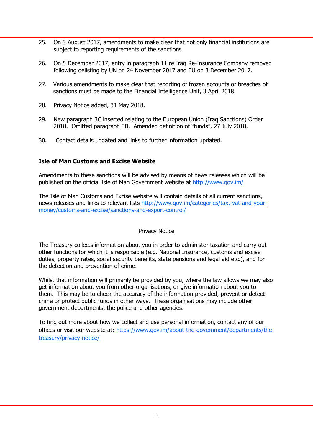- 25. On 3 August 2017, amendments to make clear that not only financial institutions are subject to reporting requirements of the sanctions.
- 26. On 5 December 2017, entry in paragraph 11 re Iraq Re-Insurance Company removed following delisting by UN on 24 November 2017 and EU on 3 December 2017.
- 27. Various amendments to make clear that reporting of frozen accounts or breaches of sanctions must be made to the Financial Intelligence Unit, 3 April 2018.
- 28. Privacy Notice added, 31 May 2018.
- 29. New paragraph 3C inserted relating to the European Union (Iraq Sanctions) Order 2018. Omitted paragraph 3B. Amended definition of "funds", 27 July 2018.
- 30. Contact details updated and links to further information updated.

## **Isle of Man Customs and Excise Website**

Amendments to these sanctions will be advised by means of news releases which will be published on the official Isle of Man Government website at <http://www.gov.im/>

The Isle of Man Customs and Excise website will contain details of all current sanctions, news releases and links to relevant lists [http://www.gov.im/categories/tax,-vat-and-your](http://www.gov.im/categories/tax,-vat-and-your-money/customs-and-excise/sanctions-and-export-control/)[money/customs-and-excise/sanctions-and-export-control/](http://www.gov.im/categories/tax,-vat-and-your-money/customs-and-excise/sanctions-and-export-control/)

#### Privacy Notice

The Treasury collects information about you in order to administer taxation and carry out other functions for which it is responsible (e.g. National Insurance, customs and excise duties, property rates, social security benefits, state pensions and legal aid etc.), and for the detection and prevention of crime.

Whilst that information will primarily be provided by you, where the law allows we may also get information about you from other organisations, or give information about you to them. This may be to check the accuracy of the information provided, prevent or detect crime or protect public funds in other ways. These organisations may include other government departments, the police and other agencies.

To find out more about how we collect and use personal information, contact any of our offices or visit our website at: [https://www.gov.im/about-the-government/departments/the](https://www.gov.im/about-the-government/departments/the-treasury/privacy-notice/)[treasury/privacy-notice/](https://www.gov.im/about-the-government/departments/the-treasury/privacy-notice/)